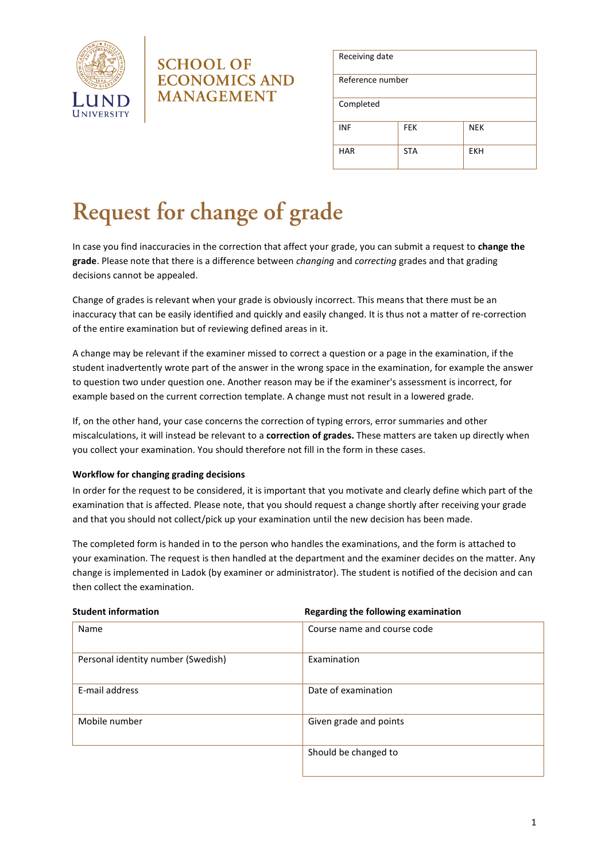

## **SCHOOL OF ECONOMICS AND MANAGEMENT**

| Receiving date   |            |            |  |  |
|------------------|------------|------------|--|--|
| Reference number |            |            |  |  |
| Completed        |            |            |  |  |
| <b>INF</b>       | <b>FEK</b> | <b>NEK</b> |  |  |
| <b>HAR</b>       | <b>STA</b> | <b>EKH</b> |  |  |

# Request for change of grade

In case you find inaccuracies in the correction that affect your grade, you can submit a request to **change the grade**. Please note that there is a difference between *changing* and *correcting* grades and that grading decisions cannot be appealed.

Change of grades is relevant when your grade is obviously incorrect. This means that there must be an inaccuracy that can be easily identified and quickly and easily changed. It is thus not a matter of re-correction of the entire examination but of reviewing defined areas in it.

A change may be relevant if the examiner missed to correct a question or a page in the examination, if the student inadvertently wrote part of the answer in the wrong space in the examination, for example the answer to question two under question one. Another reason may be if the examiner's assessment is incorrect, for example based on the current correction template. A change must not result in a lowered grade.

If, on the other hand, your case concerns the correction of typing errors, error summaries and other miscalculations, it will instead be relevant to a **correction of grades.** These matters are taken up directly when you collect your examination. You should therefore not fill in the form in these cases.

### **Workflow for changing grading decisions**

In order for the request to be considered, it is important that you motivate and clearly define which part of the examination that is affected. Please note, that you should request a change shortly after receiving your grade and that you should not collect/pick up your examination until the new decision has been made.

The completed form is handed in to the person who handles the examinations, and the form is attached to your examination. The request is then handled at the department and the examiner decides on the matter. Any change is implemented in Ladok (by examiner or administrator). The student is notified of the decision and can then collect the examination.

**Student information Regarding the following examination**

| Name                               | Course name and course code |
|------------------------------------|-----------------------------|
| Personal identity number (Swedish) | Examination                 |
| E-mail address                     | Date of examination         |
| Mobile number                      | Given grade and points      |
|                                    | Should be changed to        |